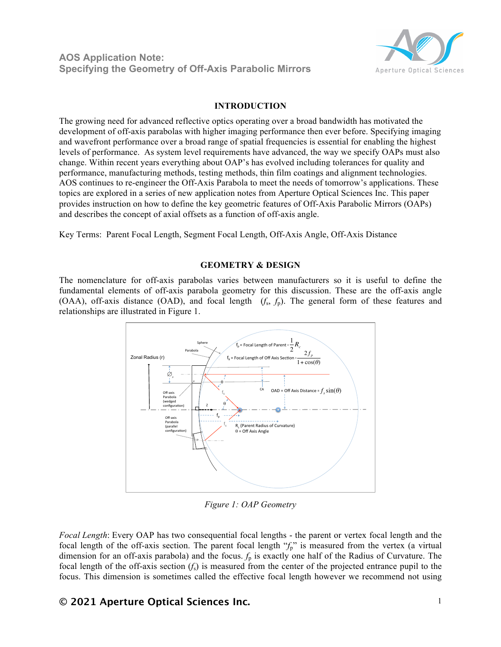**AOS Application Note: Specifying the Geometry of Off-Axis Parabolic Mirrors**



### **INTRODUCTION**

The growing need for advanced reflective optics operating over a broad bandwidth has motivated the development of off-axis parabolas with higher imaging performance then ever before. Specifying imaging and wavefront performance over a broad range of spatial frequencies is essential for enabling the highest levels of performance. As system level requirements have advanced, the way we specify OAPs must also change. Within recent years everything about OAP's has evolved including tolerances for quality and performance, manufacturing methods, testing methods, thin film coatings and alignment technologies. AOS continues to re-engineer the Off-Axis Parabola to meet the needs of tomorrow's applications. These topics are explored in a series of new application notes from Aperture Optical Sciences Inc. This paper provides instruction on how to define the key geometric features of Off-Axis Parabolic Mirrors (OAPs) and describes the concept of axial offsets as a function of off-axis angle.

Key Terms: Parent Focal Length, Segment Focal Length, Off-Axis Angle, Off-Axis Distance

#### **GEOMETRY & DESIGN**

The nomenclature for off-axis parabolas varies between manufacturers so it is useful to define the fundamental elements of off-axis parabola geometry for this discussion. These are the off-axis angle (OAA), off-axis distance (OAD), and focal length (*f*s, *f*p). The general form of these features and relationships are illustrated in Figure 1.



*Figure 1: OAP Geometry*

*Focal Length*: Every OAP has two consequential focal lengths - the parent or vertex focal length and the focal length of the off-axis section. The parent focal length " $f_p$ " is measured from the vertex (a virtual dimension for an off-axis parabola) and the focus.  $f_p$  is exactly one half of the Radius of Curvature. The focal length of the off-axis section  $(f_s)$  is measured from the center of the projected entrance pupil to the focus. This dimension is sometimes called the effective focal length however we recommend not using

# **© 2021 Aperture Optical Sciences Inc.** 1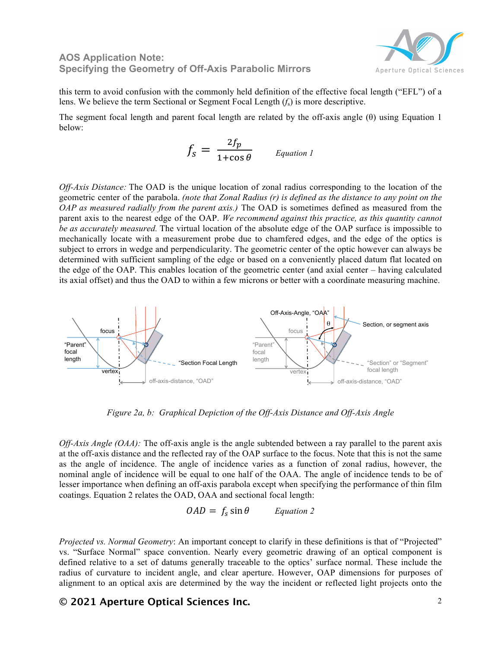### **AOS Application Note: Specifying the Geometry of Off-Axis Parabolic Mirrors**



this term to avoid confusion with the commonly held definition of the effective focal length ("EFL") of a lens. We believe the term Sectional or Segment Focal Length (*f*s) is more descriptive.

The segment focal length and parent focal length are related by the off-axis angle (θ) using Equation 1 below:

$$
f_{\rm s} = \frac{2f_p}{1 + \cos \theta} \qquad \text{Equation 1}
$$

*Off-Axis Distance:* The OAD is the unique location of zonal radius corresponding to the location of the geometric center of the parabola. *(note that Zonal Radius (r) is defined as the distance to any point on the OAP as measured radially from the parent axis.)* The OAD is sometimes defined as measured from the parent axis to the nearest edge of the OAP. *We recommend against this practice, as this quantity cannot be as accurately measured.* The virtual location of the absolute edge of the OAP surface is impossible to mechanically locate with a measurement probe due to chamfered edges, and the edge of the optics is subject to errors in wedge and perpendicularity. The geometric center of the optic however can always be determined with sufficient sampling of the edge or based on a conveniently placed datum flat located on the edge of the OAP. This enables location of the geometric center (and axial center – having calculated its axial offset) and thus the OAD to within a few microns or better with a coordinate measuring machine.



*Figure 2a, b: Graphical Depiction of the Off-Axis Distance and Off-Axis Angle*

*Off-Axis Angle (OAA):* The off-axis angle is the angle subtended between a ray parallel to the parent axis at the off-axis distance and the reflected ray of the OAP surface to the focus. Note that this is not the same as the angle of incidence. The angle of incidence varies as a function of zonal radius, however, the nominal angle of incidence will be equal to one half of the OAA. The angle of incidence tends to be of lesser importance when defining an off-axis parabola except when specifying the performance of thin film coatings. Equation 2 relates the OAD, OAA and sectional focal length:

$$
OAD = f_s \sin \theta
$$
 *Equation 2*

*Projected vs. Normal Geometry*: An important concept to clarify in these definitions is that of "Projected" vs. "Surface Normal" space convention. Nearly every geometric drawing of an optical component is defined relative to a set of datums generally traceable to the optics' surface normal. These include the radius of curvature to incident angle, and clear aperture. However, OAP dimensions for purposes of alignment to an optical axis are determined by the way the incident or reflected light projects onto the

# **© 2021 Aperture Optical Sciences Inc.** 2